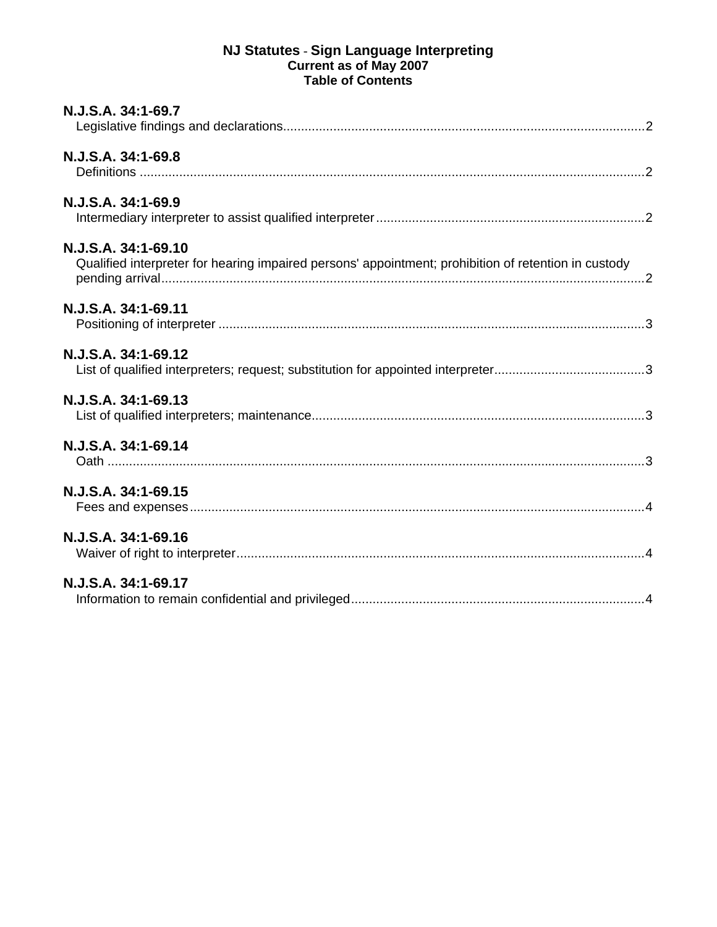## **NJ Statutes** - **Sign Language Interpreting Current as of May 2007 Table of Contents**

| N.J.S.A. 34:1-69.7                                                                                                          |  |
|-----------------------------------------------------------------------------------------------------------------------------|--|
| N.J.S.A. 34:1-69.8                                                                                                          |  |
| N.J.S.A. 34:1-69.9                                                                                                          |  |
| N.J.S.A. 34:1-69.10<br>Qualified interpreter for hearing impaired persons' appointment; prohibition of retention in custody |  |
| N.J.S.A. 34:1-69.11                                                                                                         |  |
| N.J.S.A. 34:1-69.12                                                                                                         |  |
| N.J.S.A. 34:1-69.13                                                                                                         |  |
| N.J.S.A. 34:1-69.14                                                                                                         |  |
| N.J.S.A. 34:1-69.15                                                                                                         |  |
| N.J.S.A. 34:1-69.16                                                                                                         |  |
| N.J.S.A. 34:1-69.17                                                                                                         |  |
|                                                                                                                             |  |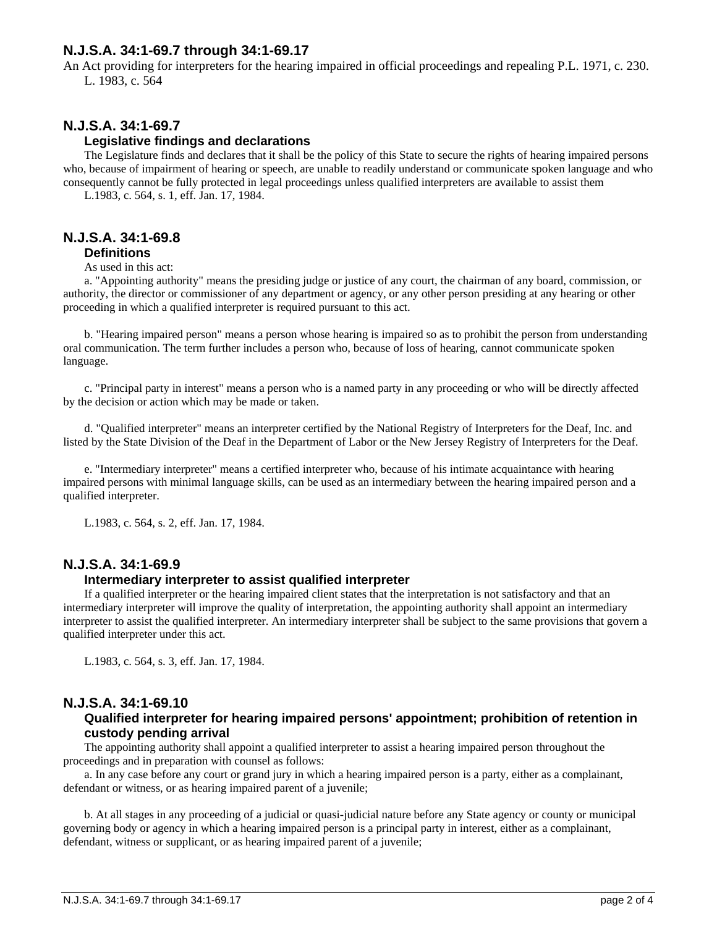# <span id="page-1-0"></span>**N.J.S.A. 34:1-69.7 through 34:1-69.17**

An Act providing for interpreters for the hearing impaired in official proceedings and repealing P.L. 1971, c. 230. L. 1983, c. 564

# **N.J.S.A. 34:1-69.7**

## **Legislative findings and declarations**

The Legislature finds and declares that it shall be the policy of this State to secure the rights of hearing impaired persons who, because of impairment of hearing or speech, are unable to readily understand or communicate spoken language and who consequently cannot be fully protected in legal proceedings unless qualified interpreters are available to assist them L.1983, c. 564, s. 1, eff. Jan. 17, 1984.

## **N.J.S.A. 34:1-69.8 Definitions**

As used in this act:

a. "Appointing authority" means the presiding judge or justice of any court, the chairman of any board, commission, or authority, the director or commissioner of any department or agency, or any other person presiding at any hearing or other proceeding in which a qualified interpreter is required pursuant to this act.

b. "Hearing impaired person" means a person whose hearing is impaired so as to prohibit the person from understanding oral communication. The term further includes a person who, because of loss of hearing, cannot communicate spoken language.

c. "Principal party in interest" means a person who is a named party in any proceeding or who will be directly affected by the decision or action which may be made or taken.

d. "Qualified interpreter" means an interpreter certified by the National Registry of Interpreters for the Deaf, Inc. and listed by the State Division of the Deaf in the Department of Labor or the New Jersey Registry of Interpreters for the Deaf.

e. "Intermediary interpreter" means a certified interpreter who, because of his intimate acquaintance with hearing impaired persons with minimal language skills, can be used as an intermediary between the hearing impaired person and a qualified interpreter.

L.1983, c. 564, s. 2, eff. Jan. 17, 1984.

## **N.J.S.A. 34:1-69.9**

### **Intermediary interpreter to assist qualified interpreter**

If a qualified interpreter or the hearing impaired client states that the interpretation is not satisfactory and that an intermediary interpreter will improve the quality of interpretation, the appointing authority shall appoint an intermediary interpreter to assist the qualified interpreter. An intermediary interpreter shall be subject to the same provisions that govern a qualified interpreter under this act.

L.1983, c. 564, s. 3, eff. Jan. 17, 1984.

## **N.J.S.A. 34:1-69.10**

### **Qualified interpreter for hearing impaired persons' appointment; prohibition of retention in custody pending arrival**

The appointing authority shall appoint a qualified interpreter to assist a hearing impaired person throughout the proceedings and in preparation with counsel as follows:

a. In any case before any court or grand jury in which a hearing impaired person is a party, either as a complainant, defendant or witness, or as hearing impaired parent of a juvenile;

b. At all stages in any proceeding of a judicial or quasi-judicial nature before any State agency or county or municipal governing body or agency in which a hearing impaired person is a principal party in interest, either as a complainant, defendant, witness or supplicant, or as hearing impaired parent of a juvenile;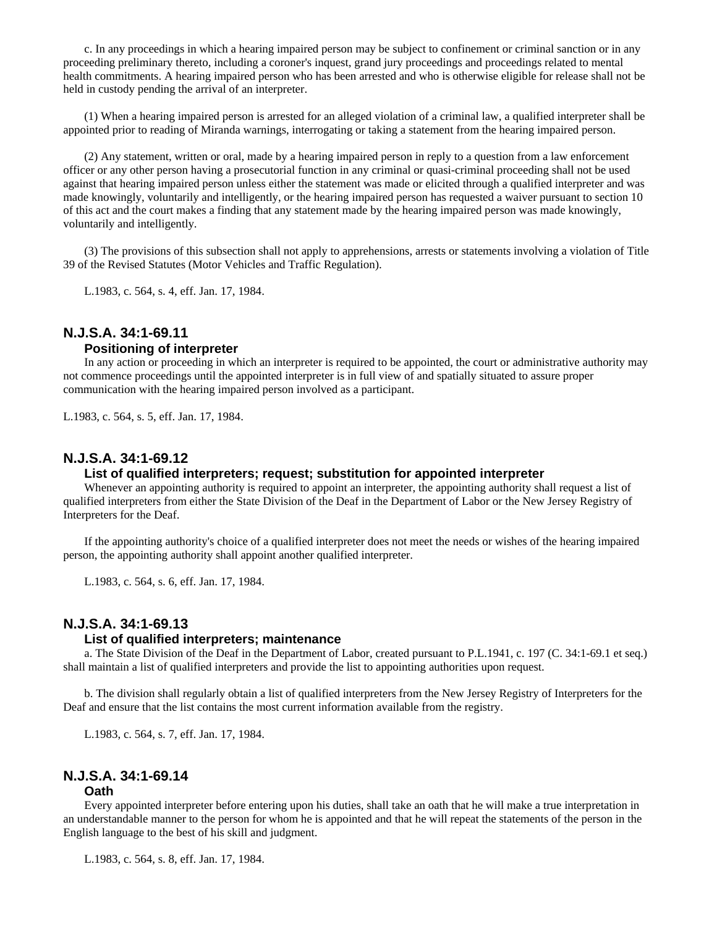<span id="page-2-0"></span>c. In any proceedings in which a hearing impaired person may be subject to confinement or criminal sanction or in any proceeding preliminary thereto, including a coroner's inquest, grand jury proceedings and proceedings related to mental health commitments. A hearing impaired person who has been arrested and who is otherwise eligible for release shall not be held in custody pending the arrival of an interpreter.

(1) When a hearing impaired person is arrested for an alleged violation of a criminal law, a qualified interpreter shall be appointed prior to reading of Miranda warnings, interrogating or taking a statement from the hearing impaired person.

(2) Any statement, written or oral, made by a hearing impaired person in reply to a question from a law enforcement officer or any other person having a prosecutorial function in any criminal or quasi-criminal proceeding shall not be used against that hearing impaired person unless either the statement was made or elicited through a qualified interpreter and was made knowingly, voluntarily and intelligently, or the hearing impaired person has requested a waiver pursuant to section 10 of this act and the court makes a finding that any statement made by the hearing impaired person was made knowingly, voluntarily and intelligently.

(3) The provisions of this subsection shall not apply to apprehensions, arrests or statements involving a violation of Title 39 of the Revised Statutes (Motor Vehicles and Traffic Regulation).

L.1983, c. 564, s. 4, eff. Jan. 17, 1984.

# **N.J.S.A. 34:1-69.11**

### **Positioning of interpreter**

In any action or proceeding in which an interpreter is required to be appointed, the court or administrative authority may not commence proceedings until the appointed interpreter is in full view of and spatially situated to assure proper communication with the hearing impaired person involved as a participant.

L.1983, c. 564, s. 5, eff. Jan. 17, 1984.

## **N.J.S.A. 34:1-69.12**

#### **List of qualified interpreters; request; substitution for appointed interpreter**

Whenever an appointing authority is required to appoint an interpreter, the appointing authority shall request a list of qualified interpreters from either the State Division of the Deaf in the Department of Labor or the New Jersey Registry of Interpreters for the Deaf.

If the appointing authority's choice of a qualified interpreter does not meet the needs or wishes of the hearing impaired person, the appointing authority shall appoint another qualified interpreter.

L.1983, c. 564, s. 6, eff. Jan. 17, 1984.

### **N.J.S.A. 34:1-69.13**

#### **List of qualified interpreters; maintenance**

a. The State Division of the Deaf in the Department of Labor, created pursuant to P.L.1941, c. 197 (C. 34:1-69.1 et seq.) shall maintain a list of qualified interpreters and provide the list to appointing authorities upon request.

b. The division shall regularly obtain a list of qualified interpreters from the New Jersey Registry of Interpreters for the Deaf and ensure that the list contains the most current information available from the registry.

L.1983, c. 564, s. 7, eff. Jan. 17, 1984.

## **N.J.S.A. 34:1-69.14**

#### **Oath**

Every appointed interpreter before entering upon his duties, shall take an oath that he will make a true interpretation in an understandable manner to the person for whom he is appointed and that he will repeat the statements of the person in the English language to the best of his skill and judgment.

L.1983, c. 564, s. 8, eff. Jan. 17, 1984.